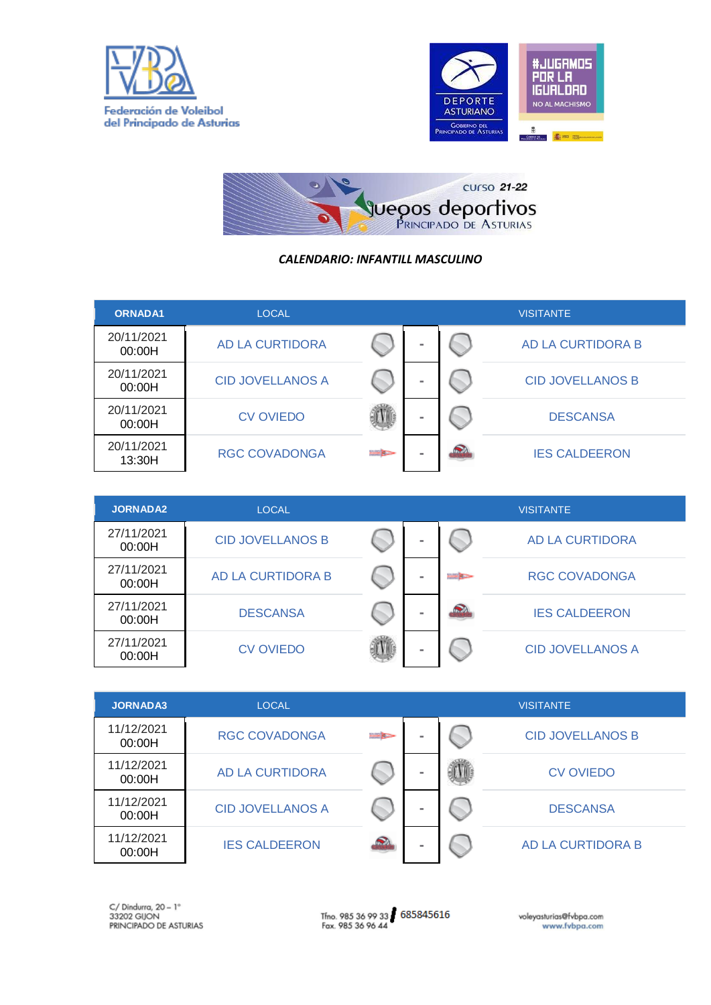





## *CALENDARIO: INFANTILL MASCULINO*

| <b>ORNADA1</b>       | <b>LOCAL</b>            |                  |   | <b>VISITANTE</b>        |
|----------------------|-------------------------|------------------|---|-------------------------|
| 20/11/2021<br>00:00H | <b>AD LA CURTIDORA</b>  |                  |   | AD LA CURTIDORA B       |
| 20/11/2021<br>00:00H | <b>CID JOVELLANOS A</b> |                  |   | <b>CID JOVELLANOS B</b> |
| 20/11/2021<br>00:00H | <b>CV OVIEDO</b>        |                  | - | <b>DESCANSA</b>         |
| 20/11/2021<br>13:30H | <b>RGC COVADONGA</b>    | <b>Barriston</b> |   | <b>IES CALDEERON</b>    |

| <b>JORNADA2</b>      | <b>LOCAL</b>            |  |               | <b>VISITANTE</b>        |
|----------------------|-------------------------|--|---------------|-------------------------|
| 27/11/2021<br>00:00H | <b>CID JOVELLANOS B</b> |  |               | AD LA CURTIDORA         |
| 27/11/2021<br>00:00H | AD LA CURTIDORA B       |  | <b>Barnet</b> | <b>RGC COVADONGA</b>    |
| 27/11/2021<br>00:00H | <b>DESCANSA</b>         |  | 2             | <b>IES CALDEERON</b>    |
| 27/11/2021<br>00:00H | <b>CV OVIEDO</b>        |  |               | <b>CID JOVELLANOS A</b> |

| <b>JORNADA3</b>      | <b>LOCAL</b>            |                     |  | <b>VISITANTE</b>        |
|----------------------|-------------------------|---------------------|--|-------------------------|
| 11/12/2021<br>00:00H | <b>RGC COVADONGA</b>    | <b>Barnet Black</b> |  | <b>CID JOVELLANOS B</b> |
| 11/12/2021<br>00:00H | <b>AD LA CURTIDORA</b>  |                     |  | <b>CV OVIEDO</b>        |
| 11/12/2021<br>00:00H | <b>CID JOVELLANOS A</b> |                     |  | <b>DESCANSA</b>         |
| 11/12/2021<br>00:00H | <b>IES CALDEERON</b>    |                     |  | AD LA CURTIDORA B       |

Tfno. 985 36 99 33 685845616<br>Fax. 985 36 96 44

voleyasturias@fvbpa.com<br>www.fvbpa.com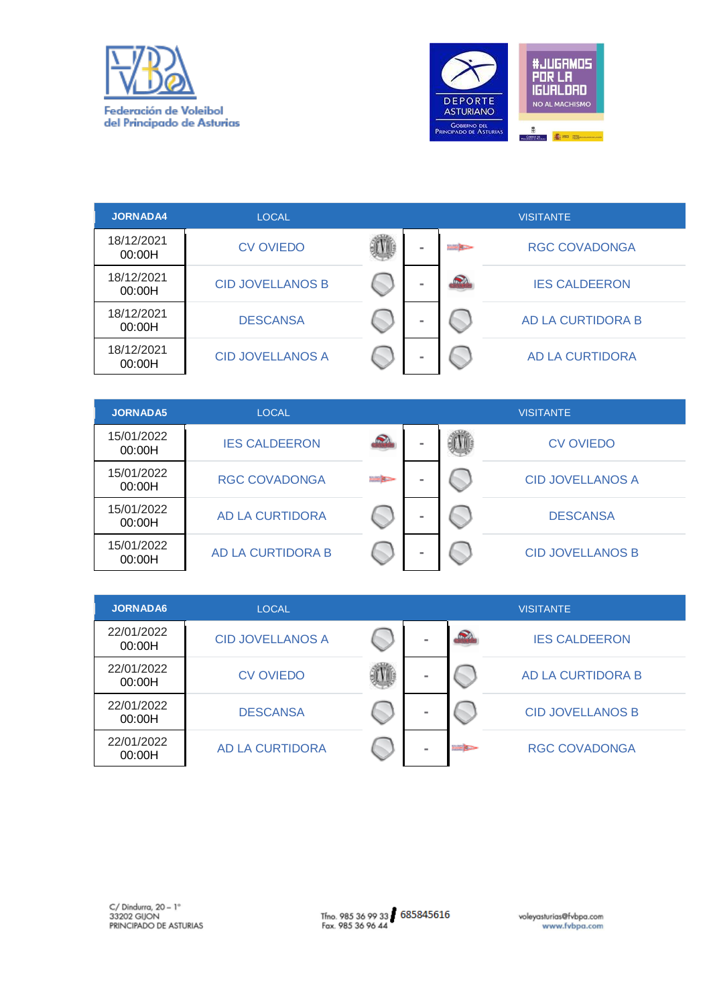



| <b>JORNADA4</b>      | <b>LOCAL</b>            |   |               | <b>VISITANTE</b>     |
|----------------------|-------------------------|---|---------------|----------------------|
| 18/12/2021<br>00:00H | <b>CV OVIEDO</b>        | × | <b>Barnet</b> | <b>RGC COVADONGA</b> |
| 18/12/2021<br>00:00H | <b>CID JOVELLANOS B</b> | m | $\mathbf{C}$  | <b>IES CALDEERON</b> |
| 18/12/2021<br>00:00H | <b>DESCANSA</b>         | × |               | AD LA CURTIDORA B    |
| 18/12/2021<br>00:00H | <b>CID JOVELLANOS A</b> | × |               | AD LA CURTIDORA      |

| <b>JORNADA5</b>      | LOCAL                  |                | <b>VISITANTE</b> |  |                         |  |  |
|----------------------|------------------------|----------------|------------------|--|-------------------------|--|--|
| 15/01/2022<br>00:00H | <b>IES CALDEERON</b>   |                | -                |  | <b>CV OVIEDO</b>        |  |  |
| 15/01/2022<br>00:00H | <b>RGC COVADONGA</b>   | <b>BAR KOR</b> | ٠                |  | <b>CID JOVELLANOS A</b> |  |  |
| 15/01/2022<br>00:00H | <b>AD LA CURTIDORA</b> |                |                  |  | <b>DESCANSA</b>         |  |  |
| 15/01/2022<br>00:00H | AD LA CURTIDORA B      |                |                  |  | <b>CID JOVELLANOS B</b> |  |  |

| <b>JORNADA6</b>      | <b>LOCAL</b>            |   |                  | <b>VISITANTE</b>        |
|----------------------|-------------------------|---|------------------|-------------------------|
| 22/01/2022<br>00:00H | <b>CID JOVELLANOS A</b> | - | Q                | <b>IES CALDEERON</b>    |
| 22/01/2022<br>00:00H | <b>CV OVIEDO</b>        | - |                  | AD LA CURTIDORA B       |
| 22/01/2022<br>00:00H | <b>DESCANSA</b>         | - |                  | <b>CID JOVELLANOS B</b> |
| 22/01/2022<br>00:00H | <b>AD LA CURTIDORA</b>  | - | <b>BASE SARA</b> | <b>RGC COVADONGA</b>    |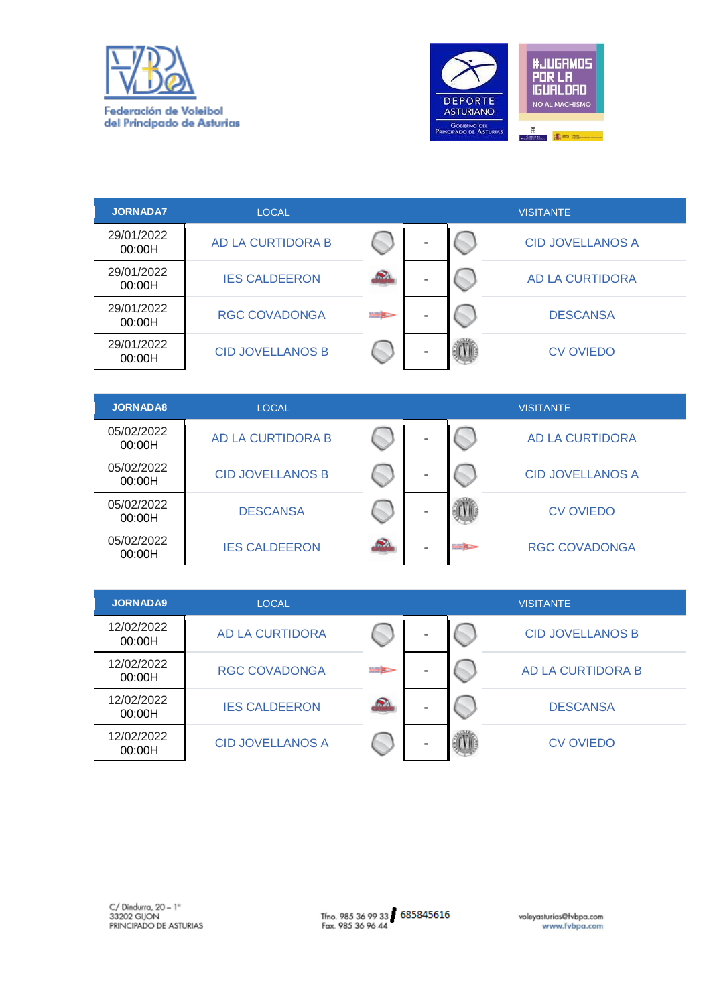



| <b>JORNADA7</b>      | LOCAL                    |                  |   | <b>VISITANTE</b>        |
|----------------------|--------------------------|------------------|---|-------------------------|
| 29/01/2022<br>00:00H | <b>AD LA CURTIDORA B</b> |                  | - | <b>CID JOVELLANOS A</b> |
| 29/01/2022<br>00:00H | <b>IES CALDEERON</b>     |                  | - | AD LA CURTIDORA         |
| 29/01/2022<br>00:00H | <b>RGC COVADONGA</b>     | <b>Bill Bare</b> |   | <b>DESCANSA</b>         |
| 29/01/2022<br>00:00H | <b>CID JOVELLANOS B</b>  |                  |   | <b>CV OVIEDO</b>        |

| <b>JORNADA8</b>      | <b>LOCAL</b>            |    |   |                    | <b>VISITANTE</b>        |
|----------------------|-------------------------|----|---|--------------------|-------------------------|
| 05/02/2022<br>00:00H | AD LA CURTIDORA B       |    | - |                    | AD LA CURTIDORA         |
| 05/02/2022<br>00:00H | <b>CID JOVELLANOS B</b> |    |   |                    | <b>CID JOVELLANOS A</b> |
| 05/02/2022<br>00:00H | <b>DESCANSA</b>         |    |   |                    | <b>CV OVIEDO</b>        |
| 05/02/2022<br>00:00H | <b>IES CALDEERON</b>    | Ω. |   | <b>Built Bally</b> | <b>RGC COVADONGA</b>    |

| <b>JORNADA9</b>      | <b>LOCAL</b>            |                           |          | <b>VISITANTE</b>        |
|----------------------|-------------------------|---------------------------|----------|-------------------------|
| 12/02/2022<br>00:00H | <b>AD LA CURTIDORA</b>  |                           | $\equiv$ | <b>CID JOVELLANOS B</b> |
| 12/02/2022<br>00:00H | <b>RGC COVADONGA</b>    | <b>BBB</b> B <sub>B</sub> |          | AD LA CURTIDORA B       |
| 12/02/2022<br>00:00H | <b>IES CALDEERON</b>    | e.                        |          | <b>DESCANSA</b>         |
| 12/02/2022<br>00:00H | <b>CID JOVELLANOS A</b> |                           |          | <b>CV OVIEDO</b>        |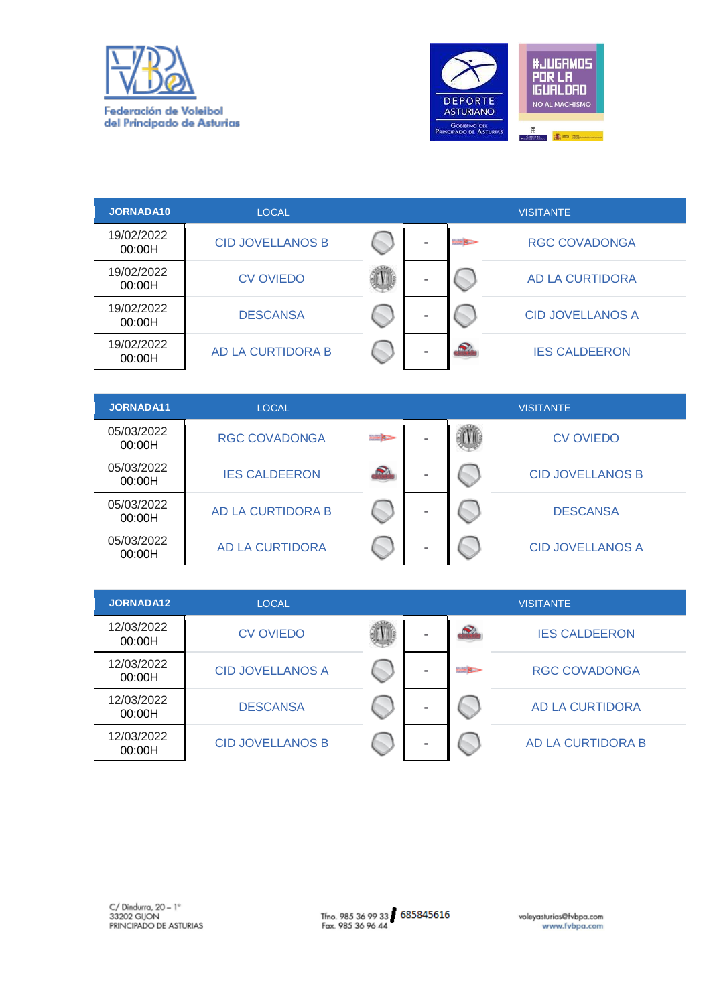



| <b>JORNADA10</b>     | LOCAL                    |          |                    | <b>VISITANTE</b>        |
|----------------------|--------------------------|----------|--------------------|-------------------------|
| 19/02/2022<br>00:00H | <b>CID JOVELLANOS B</b>  |          | <b>ENGINEERING</b> | <b>RGC COVADONGA</b>    |
| 19/02/2022<br>00:00H | <b>CV OVIEDO</b>         |          |                    | AD LA CURTIDORA         |
| 19/02/2022<br>00:00H | <b>DESCANSA</b>          | $\equiv$ |                    | <b>CID JOVELLANOS A</b> |
| 19/02/2022<br>00:00H | <b>AD LA CURTIDORA B</b> |          |                    | <b>IES CALDEERON</b>    |

| JORNADA11            | <b>LOCAL</b>             | <b>VISITANTE</b> |   |  |                         |  |
|----------------------|--------------------------|------------------|---|--|-------------------------|--|
| 05/03/2022<br>00:00H | <b>RGC COVADONGA</b>     | <b>Bill Bare</b> | ۰ |  | <b>CV OVIEDO</b>        |  |
| 05/03/2022<br>00:00H | <b>IES CALDEERON</b>     |                  | - |  | <b>CID JOVELLANOS B</b> |  |
| 05/03/2022<br>00:00H | <b>AD LA CURTIDORA B</b> |                  | ۰ |  | <b>DESCANSA</b>         |  |
| 05/03/2022<br>00:00H | <b>AD LA CURTIDORA</b>   |                  | ۰ |  | <b>CID JOVELLANOS A</b> |  |

| JORNADA12            | <b>LOCAL</b>            |   |                 | <b>VISITANTE</b>       |
|----------------------|-------------------------|---|-----------------|------------------------|
| 12/03/2022<br>00:00H | <b>CV OVIEDO</b>        | - |                 | <b>IES CALDEERON</b>   |
| 12/03/2022<br>00:00H | <b>CID JOVELLANOS A</b> | - | <b>DOM ROOM</b> | <b>RGC COVADONGA</b>   |
| 12/03/2022<br>00:00H | <b>DESCANSA</b>         | - |                 | <b>AD LA CURTIDORA</b> |
| 12/03/2022<br>00:00H | <b>CID JOVELLANOS B</b> | - |                 | AD LA CURTIDORA B      |